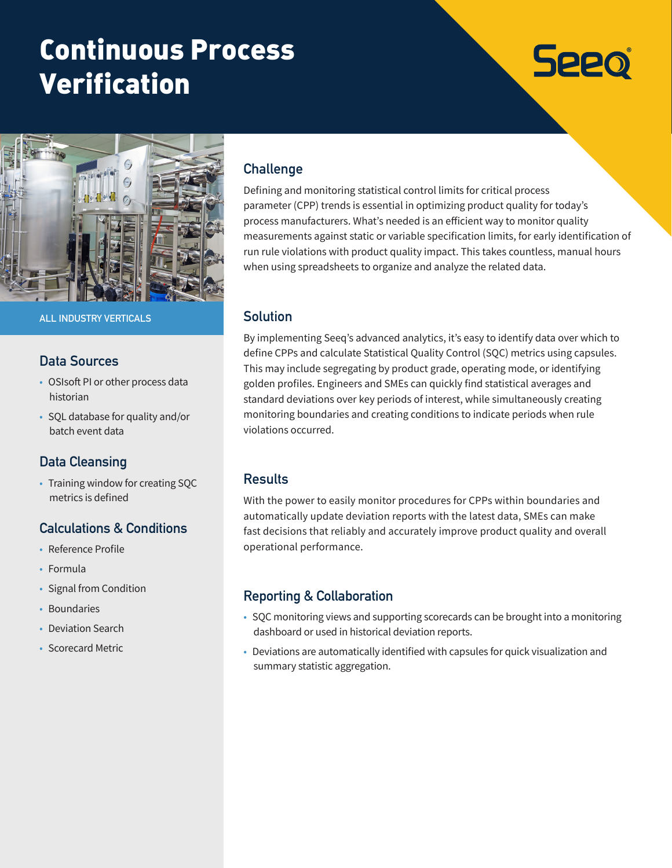# Continuous Process Verification

# **Seeo**



**ALL INDUSTRY VERTICALS**

# **Data Sources**

- OSIsoft PI or other process data historian
- SQL database for quality and/or batch event data

# **Data Cleansing**

• Training window for creating SQC metrics is defined

# **Calculations & Conditions**

- Reference Profile
- Formula
- Signal from Condition
- Boundaries
- Deviation Search
- Scorecard Metric

# **Challenge**

Defining and monitoring statistical control limits for critical process parameter (CPP) trends is essential in optimizing product quality for today's process manufacturers. What's needed is an efficient way to monitor quality measurements against static or variable specification limits, for early identification of run rule violations with product quality impact. This takes countless, manual hours when using spreadsheets to organize and analyze the related data.

#### **Solution**

By implementing Seeq's advanced analytics, it's easy to identify data over which to define CPPs and calculate Statistical Quality Control (SQC) metrics using capsules. This may include segregating by product grade, operating mode, or identifying golden profiles. Engineers and SMEs can quickly find statistical averages and standard deviations over key periods of interest, while simultaneously creating monitoring boundaries and creating conditions to indicate periods when rule violations occurred.

# **Results**

With the power to easily monitor procedures for CPPs within boundaries and automatically update deviation reports with the latest data, SMEs can make fast decisions that reliably and accurately improve product quality and overall operational performance.

# **Reporting & Collaboration**

- SQC monitoring views and supporting scorecards can be brought into a monitoring dashboard or used in historical deviation reports.
- Deviations are automatically identified with capsules for quick visualization and summary statistic aggregation.